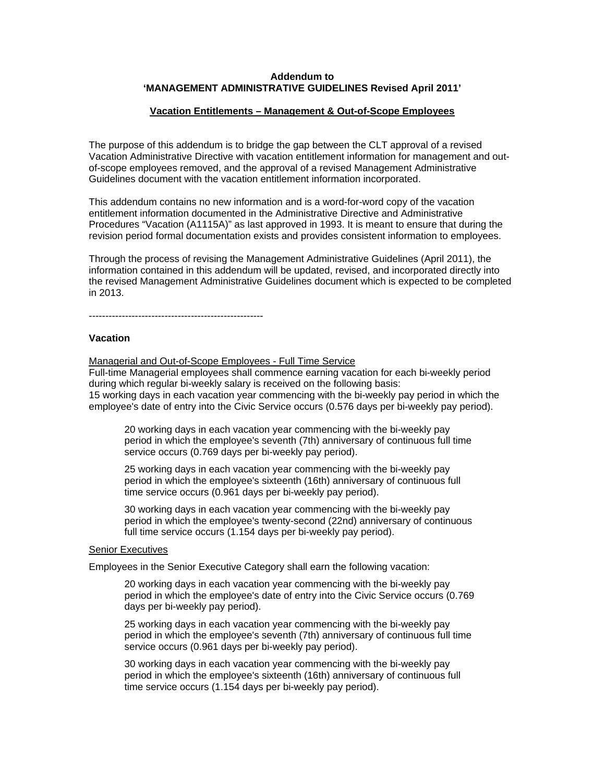## **Addendum to 'MANAGEMENT ADMINISTRATIVE GUIDELINES Revised April 2011'**

#### **Vacation Entitlements – Management & Out-of-Scope Employees**

The purpose of this addendum is to bridge the gap between the CLT approval of a revised Vacation Administrative Directive with vacation entitlement information for management and outof-scope employees removed, and the approval of a revised Management Administrative Guidelines document with the vacation entitlement information incorporated.

This addendum contains no new information and is a word-for-word copy of the vacation entitlement information documented in the Administrative Directive and Administrative Procedures ["Vacation](http://www.edmonton.ca/city_government/documents/PoliciesDirectives/a1115a.doc) (A1115A)" as last approved in 1993. It is meant to ensure that during the revision period formal documentation exists and provides consistent information to employees.

Through the process of revising the Management Administrative Guidelines (April 2011), the information contained in this addendum will be updated, revised, and incorporated directly into the revised Management Administrative Guidelines document which is expected to be completed in 2013.

 $-$ 

#### **Vacation**

Managerial and Out-of-Scope Employees - Full Time Service Full-time Managerial employees shall commence earning vacation for each bi-weekly period during which regular bi-weekly salary is received on the following basis: 15 working days in each vacation year commencing with the bi-weekly pay period in which the employee's date of entry into the Civic Service occurs (0.576 days per bi-weekly pay period).

20 working days in each vacation year commencing with the bi-weekly pay period in which the employee's seventh (7th) anniversary of continuous full time service occurs (0.769 days per bi-weekly pay period).

25 working days in each vacation year commencing with the bi-weekly pay period in which the employee's sixteenth (16th) anniversary of continuous full time service occurs (0.961 days per bi-weekly pay period).

30 working days in each vacation year commencing with the bi-weekly pay period in which the employee's twenty-second (22nd) anniversary of continuous full time service occurs (1.154 days per bi-weekly pay period).

# Senior Executives

Employees in the Senior Executive Category shall earn the following vacation:

20 working days in each vacation year commencing with the bi-weekly pay period in which the employee's date of entry into the Civic Service occurs (0.769 days per bi-weekly pay period).

25 working days in each vacation year commencing with the bi-weekly pay period in which the employee's seventh (7th) anniversary of continuous full time service occurs (0.961 days per bi-weekly pay period).

30 working days in each vacation year commencing with the bi-weekly pay period in which the employee's sixteenth (16th) anniversary of continuous full time service occurs (1.154 days per bi-weekly pay period).